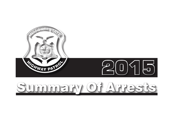

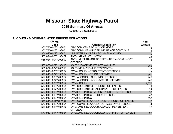# **Missouri State Highway Patrol**

# **2015 Summary Of Arrests**

 **(CJ350545 & CJ350651)**

### **ALCOHOL- & DRUG-RELATED DRIVING VIOLATIONS**

| Charge             |                                                           | <b>YTD</b>     |
|--------------------|-----------------------------------------------------------|----------------|
| Code               | <b>Offense Description</b>                                | <b>Arrests</b> |
| 302.780-002Y198954 | DRV COM VEH BAC .04% OR MORE                              | 6              |
| 302.780-003Y198954 | DRV COMM VEH/UNDER INFLUENCE CONT. SUB                    |                |
| 304.013-007Y198854 | UNLAWFULLY OPER ATV U/INFL ALCOHOL                        | 9              |
| 565.024-003Y198409 | <b>INVOL MANSL VEH INTOX</b>                              | 21             |
| 565.024-004Y200509 | INVOL MNSLTR-1ST DEGREE-INTOX-DEATH-1ST<br><b>OFFENSE</b> | 2              |
| 565.060-002Y198413 | ASLT 2ND-OP VEH W INTOX-INJURY                            | 262            |
| 565.082-004Y200513 | ASLT-VEH-2ND-L/E, ETC W/INTOX                             | 2              |
| 577.010-001Y197954 | DWI/ALCOHOL-PERSISTENT OFFENDER                           | 478            |
| 577.010-002Y198254 | DWI/ALCOHOL-PRIOR OFFENDER                                | 550            |
| 577.010-003Y200554 | DWI-ALCOHOL-CHRONIC OFFENDER                              | 186            |
| 577.010-004Y200554 | DWI-ALCOHOL-AGGRAVATED OFFENDER                           | 165            |
| 577.010-005Y197554 | <b>DWI/ALCOHOL</b>                                        | 4,676          |
| 577.010-006Y200554 | DWI-DRUG INTOX-CHRONIC OFFENDER                           | 9              |
| 577.010-007Y200554 | DWI-DRUG INTOXI-AGGRAVATED OFFENDER                       | 24             |
| 577.010-008Y197954 | DWI/DRUG INTOXICATION-PERSISTENT OFFENDER                 | 37             |
| 577.010-009Y197954 | <b>DWI/DRUG INTOX-PRIOR OFFENDER</b>                      | 40             |
| 577.010-010Y197954 | <b>DWI/DRUG INTOX</b>                                     | 635            |
| 577.010-011Y200554 | DWI-COMBINED ALC/DRUGS-CHRONIC OFFENDER                   | 6              |
| 577.010-012Y200554 | DWI-COMBINED ALC/DRUG-AGGRAV OFFENDER                     | $\overline{4}$ |
| 577.010-013Y197954 | DWI/COMBINED ALCOHOL/DRUG-PERSISTENT<br><b>OFFENDER</b>   | 13             |
| 577.010-014Y197954 | DWI/COMBINED ALCOHOL/DRUG-PRIOR OFFENDER                  | 20             |
|                    |                                                           |                |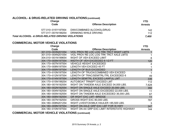# **ALCOHOL- & DRUG-RELATED DRIVING VIOLATIONS (continued)**

| Charge                                           |                            | <b>YTD</b>     |
|--------------------------------------------------|----------------------------|----------------|
| Code                                             | <b>Offense Description</b> | <b>Arrests</b> |
| 577.010-015Y197954                               | DWI/COMBINED ALCOHOL/DRUG  | 142            |
| 577.017—001N199254                               | DRINKING WHILE DRIVING     | 112            |
| Total ALCOHOL- & DRUG-RELATED DRIVING VIOLATIONS |                            | 7,400          |

### **COMMERCIAL MOTOR VEHICLE VIOLATIONS**

| Charge             |                                             | <b>YTD</b>     |
|--------------------|---------------------------------------------|----------------|
| Code               | <b>Offense Description</b>                  | <b>Arrests</b> |
| 301.010-003N201054 | VIOL PROV RE LOC LOG TRK TRCT WGHT LMTS     |                |
| 301.010-004N201054 | VIOL PROV RE LOC LOG TRK TRCT AXLE LMTS     |                |
| 304.010-001N199654 | WGHT OF VEH EXCEED LIMIT                    | 8              |
| 304.170-005N197554 | WIDTH OF VEH EXCEEDED 8 1/2 FT              | 120            |
| 304.170-007N197554 | <b>VEHICLE HEIGHT EXCEEDED</b>              |                |
| 304.170-008N197554 | LENGTH VEH EXCEED 45 FT                     |                |
| 304.170-009N197554 | LENGTH OF BUS EXCEEDED                      |                |
| 304.170-010N197554 | LENGTH OF TRUCK/COMBINED VEH EXCEED         |                |
| 304.170-012N197554 | LENGTH OF TRAC/SEMITRL/TRL EXCEEDED 6       | 49             |
| 304.170-014N197554 | LENGTH SEMITRL EXCEED LAWFUL LMT            | 336            |
| 304.170-015N199254 | AUTO/BOAT TRNSPT EXCEED LMT                 | 112            |
| 304.180-001N192554 | WGHT ON TANDEM AXLE EXCEED 34,000 LBS.      | 7,628          |
| 304.180-002N192554 | WGHT ON SINGLE AXLE EXCEED 20,000 LBS.      | 350            |
| 304.180-004N192554 | WGHT ON SINGLE AXLE EXCEEDED 22,000 LBS.    | 11             |
| 304.180-005N192554 | WGHT ON TANDEM AXLE EXCEEDED 36,000 LBS.    | 67             |
| 304.180-006N192554 | <b>GR WGHT EXC LMT-BRIDGE</b>               | 11             |
| 304.180-007N192554 | GROSS WGHT EXC 80,000 LBS.                  | 787            |
| 304.180-008N201254 | WGHT LIVESTCK/MILK HAULER >85,500 LBS.      | 3              |
| 304.180-009N197554 | WGHT ON AXLE GRP EXC LMT FOR IS HWY         | 247            |
| 304.180-010N197554 | WGHT ON AX GRP EXC LIMIT INTERSTATE HIGHWAY | 144            |

**COMMERCIAL MOTOR VEHICLE VIOLATIONS (continued)**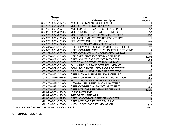| <b>Charge</b>                                    |                                            | <b>YTD</b>     |
|--------------------------------------------------|--------------------------------------------|----------------|
| Code                                             | <b>Offense Description</b>                 | <b>Arrests</b> |
| 304.181-002N197754                               | WGHT BUS TAN AX EXCEED 34,000              |                |
| 304.184-001N201054                               | <b>VIOL REG VEH TRNSP SOLID WASTE</b>      | $\mathfrak{S}$ |
| 304.190-002N197154                               | WGHT ON SINGLE AXLE EXCEEDED 22,400        | 36             |
| 304.200-001N201054                               | <b>VIOL PERMITS RE VEH WEIGHT LIMITS</b>   | 32             |
| 304.200-002N201054                               | <b>VIOL PERMT RE WIDTH/LGTH/HGHT/SPEED</b> | 133            |
| 304.220-001N195354                               | WGHT VEH EXC LMT POSTED FOR CT RD/B        | 3              |
| 304.230-001N198554                               | REFUSE WEIGH OR INSP CMV                   | 153            |
| 304.235-001N197354                               | FAIL STOP COMM MTR VEH AT WEIGH ST         | 104            |
| 304.820-001N201354                               | OPER CMV WHILE USING HANDHELD MOBILE PH    | 70             |
| 304.820-003N201354                               | OPER COMMRCL MOTOR VEHICLE WHILE TEXTING   | 4              |
| 307.177-001N200254                               | OPER COMM VEH-NONCOMP-FED HAZ MAT          | 47             |
| 307.400-001N201054                               | MTR CARR DRVR EXCEED MAX DR TIME           | 3,005          |
| 307.400-002N201054                               | OPER AS MTR CARRIER W/O MED CERT           | 254            |
| 307.400-004N201054                               | CIGRET W/I 25 FT VEH TRANS HAZ MAT         | 12             |
| 307.400-005N201054                               | FAIL MARK MV TRANSPORTING HAZ MAT          | 16             |
| 307.400-007N201054                               | COMM MV DRIVER USED RADAR DETECTOR         | 12             |
| 307.400-008N201054                               | OP COMM MV HAVING RADAR DETECTOR           | 30             |
| 307.400-010N201054                               | OPER MCV W IMPROPER LIGHTS/REFLEC          | 423            |
| 307.400-011N201054                               | OPER MCV WITH VISION REDUCING DAMAGE       | 659            |
| 307.400-012N201054                               | <b>FAIL TO EQUIP MCV WITH REQ BRAKES</b>   | 3,542          |
| 307.400-013N201054                               | MCV-FAIL PROPERLY INSTALL BATTERY          | 3              |
| 307.400-028N201054                               | OPER COMMERCIAL MV W/O SEAT BELT           | 966            |
| 307.400-029N201054                               | OPER MTR CARRIER VEH-UNSAFE AXLE           | 1,826          |
| 390.041-003N198454                               | <b>LEASE NOT IN VEH</b>                    | $\mathbf{3}$   |
| 390.041-005N198454                               | <b>IMPROPER MARKINGS</b>                   | 17             |
| 390.051-001N197554                               | OPER AS COMMON CARRIER W/O CERT            | $\mathbf{3}$   |
| 390.136-001N200454                               | OPER MTR CARRIER W/O 72-HR LIC             | 1              |
| 390.171-001N198654                               | <b>MISC MOTOR CARRIER VIOLATION</b>        | 321            |
| <b>Total COMMERCIAL MOTOR VEHICLE VIOLATIONS</b> |                                            |                |

## **CRIMINAL FELONIES**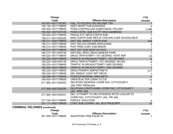| Charge                               |                                                | <b>YTD</b>     |
|--------------------------------------|------------------------------------------------|----------------|
| Code                                 | <b>Offense Description</b>                     | <b>Arrests</b> |
| 143.931-001Y197561                   | FAIL TO FILE/PAY MO INCOME TAX                 | 1              |
| 195.130-001Y198935                   | <b>KEEP MAINT PUB NUISANCE</b>                 | $\overline{2}$ |
| 195.202-001Y198935                   | POSS CONTROLLED SUBSTANCE-FELONY               | 2,396          |
| 195.202-002Y201035                   | POSS CNTRL SUB EXCPT 35G>CANBNOID              | $\overline{7}$ |
| 195.204-001Y198935                   | <b>FRAUD ATT OBTN CONTR SUB</b>                | $\overline{7}$ |
| 195.211-001Y200335                   | MAN CONTR SUB-RES W CHILD/IN 2,000' SCHOOL/BUS | $\overline{2}$ |
| 195.211-002Y198935                   | DIST DEL MANUF CONTR SUB                       | 439            |
| 195.211-003Y198935                   | DIST DEL/U/5 GRAMS MARIJUANA                   |                |
| 195.213-001Y198935                   | PUR TRAN CONT SUB MINOR                        |                |
| 195.214-001Y198935                   | <b>DIST CNT SUB NEAR SCHOOL</b>                | $\mathbf{1}$   |
| 195.217-001Y200735                   | DIST/DEL SPEC DRUG IN/NEAR PARK                | -1             |
| 195.222-001Y198935                   | DRUG TRAF/ATMPT-1ST DEGREE > STAT AMT          | 23             |
| 195.222-002Y198935                   | TRAFFIC IN DRUGS/ATTEMPT-1ST DEGREE            | $6\phantom{a}$ |
| 195.222-004Y200135                   | DRUG TRAF/ATTEMPT-1ST DEGREE-W/I MV            | 6              |
| 195.223-001Y198935                   | <b>TRAFFIC IN DRUG/ATTEMPT-2ND DEGREE</b>      | $\overline{7}$ |
| 195.223-003Y198935                   | TRAFFIC IN DRUG/ATTEMPT-2ND DEGREE             | $\overline{1}$ |
| 195.233-002Y199835                   | <b>DRUG PARAPH AMPHET/METH</b>                 | 217            |
| 195.242-001Y198935                   | DEL MANUF CONT IMIT DRUG                       | 1              |
| 195.246-001Y199635                   | POSS EPHEDRINE-MAN METH                        | $\overline{7}$ |
| 195.420-001Y199835                   | <b>CREATE/ALTER CHEM TO C/S</b>                | 14             |
| 217.360-001Y200352                   | DEL/POSS WEAPON-CORR FAC, CITY/COUNTY          | $\mathbf{3}$   |
|                                      | <b>JAIL, PRIV PRSN/JAIL</b>                    |                |
| 217.360-002Y200335                   | DEL/POSS CONTR SUBS-CORR FAC, CITY/COUNTY      | 49             |
|                                      | <b>JAIL, PRIV JAIL</b>                         |                |
| 217.360-003Y200341                   | DEL/ATTEMPT TO DEL/POSSESS INTOX LIQUOR TO     | $\mathbf 1$    |
|                                      | CORR FAC, CITY/COUNTY JAIL, PR JAIL            |                |
| 217.720-001Y198950                   | PAROLE VIOLATION                               | 4              |
| 221.111-002Y198635                   | CONT SUB CO/PRIV JAIL W/O PRESCRPT             | 15             |
| <b>CRIMINAL FELONIES (continued)</b> |                                                |                |
| Charge                               |                                                | <b>YTD</b>     |
| Code                                 | <b>Offense Description</b>                     | <b>Arrests</b> |
| 301.390-001Y198626                   | <b>SALE/POSS ITEM FALSE ID</b>                 | 7              |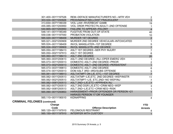| 301.400-001Y197526                   | REM-DEFACE MANUFACTURER'S NO. - MTR VEH | $\overline{2}$ |
|--------------------------------------|-----------------------------------------|----------------|
| 303.024-001Y200926                   | PROD/MANUF/SELL/DIST FRAUDULENT         | $\overline{1}$ |
| 313.830-007Y199339                   | <b>VIOL LAW-RIVERBOAT GAMB</b>          | 19             |
| 455.085-001Y200950                   | VIOL ORDR PROTECTN ADULT-2ND OFFENSE    | $\mathbf{1}$   |
| 544.665-001Y200950                   | <b>FAILURE TO APPEAR-FELONY</b>         | $\overline{4}$ |
| 548.141-001Y195349                   | <b>FUGITIVE FROM OUT-OF-STATE</b>       | 40             |
| 559.036-001Y197550                   | PROBATION VIOLATION                     | 10             |
| 565.020-001Y198409                   | <b>MURDER 1ST DEGREE</b>                | $\overline{2}$ |
| 565.021-002Y200909                   | MURDER 2ND DEGREE VEHICULAR-INTOXICATED | $\mathbf{1}$   |
| 565.024-001Y198409                   | <b>INVOL MANSLATER-1ST DEGREE</b>       | $\sqrt{5}$     |
| 565.024-002Y199909                   | <b>INVOL MANSLGTR-2ND DEGREE</b>        | $\overline{7}$ |
| 565.050-001Y198413                   | <b>ASLT 1ST DEGREE-SER PHY INJURY</b>   | $\overline{7}$ |
| 565.050-002Y197913                   | <b>ASLT 1ST DEGREE</b>                  | $\,6\,$        |
| 565.060-001Y198413                   | <b>ASLT 2ND DEGREE</b>                  | 20             |
| 565.060-003Y200613                   | ASLT-2ND DEGREE-INJ-OPER EMERG VEH      | 1              |
| 565.073-001Y200013                   | DOMESTIC ASLT-2ND DEGREE-PRIOR          | $\mathbf{2}$   |
| 565.073-002Y200013                   | DOMESTIC ASLT-2ND DEGREE-PERSISTENT     | $\overline{1}$ |
| 565.073-003Y199813                   | DOMESTIC ASLT-2ND DEGREE                | $\,6$          |
| 565.074-001Y200013                   | DOM ASLT 3RD-3RD/SUBS OFFENSE           | $\sqrt{5}$     |
| 565.081-001Y198913                   | ASLT/ATMPT ON L/E, ETC.-1ST DEGREE      | $\overline{7}$ |
| 565.082-001Y200513                   | ASLT/ATMP-L/E,ETC. 2ND DEGREE-WEP/INSTR | 11             |
| 565.082-002Y200513                   | ASLT/ATMPT-L/E, ETC.2ND-NO WEP/INJ      | $\overline{7}$ |
| 565.082-006Y200513                   | ASLT 2ND-L/E, ETC-APPRHEN INJ           | $\overline{7}$ |
| 565.082-007Y200513                   | ASLT 2ND DGR L/E, ETC-CRIM NEG-WEP      | $\mathsf 3$    |
| 565.082-008Y200513                   | ASLT 2ND-L/E, ETC-CRIM NEG-RISK         | $\mathbf 1$    |
| 565.090-001Y200853                   | HARASSMENT-PRIOR OFFENDER OR PERSON <21 | $\overline{1}$ |
|                                      | HARASS PERSON 17 OR YOUNGER             |                |
| 565.110-001Y190010                   | <b>KIDNAPPING</b>                       | 4              |
| <b>CRIMINAL FELONIES (continued)</b> |                                         |                |
| <b>Charge</b>                        |                                         | <b>YTD</b>     |
| Code                                 | <b>Offense Description</b>              | <b>Arrests</b> |
| 565.120-001Y197910                   | <b>FELONIOUS RESTRAINT</b>              |                |
| 565.150-001Y197910                   | <b>INTERFER WITH CUSTODY</b>            |                |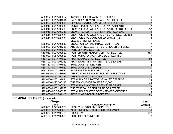| 565.252-001Y200357                   | <b>INVASION OF PRIVACY-1ST DEGREE</b>            |                                              |
|--------------------------------------|--------------------------------------------------|----------------------------------------------|
| 566.030-001Y201311                   | RAPE OR ATTEMPTED RAPE-1ST DEGREE                |                                              |
| 566.083-001Y200536                   | SEX MISCD/ATMP INVL CHLD-1ST OFFENSE             | $\overline{3}$                               |
| 568.040-001Y200938                   | NONSUPPORT-ARREARS OF 12 PAYMENTS                | $\overline{2}$                               |
| 568.045-001Y200338                   | <b>ENDANGERING WELFARE OF A CHILD-1ST DEGREE</b> | 56                                           |
| 568.045-002Y200338                   | ENDNGR CHLD-RITL CRMNY/2ND-SEX CNDT              | $\mathbf{1}$                                 |
| 568.045-005Y200338                   | <b>ENDANGERING WELFARE CHILD 1ST DEGREE/1ST</b>  | $\overline{4}$                               |
| 568.045-008Y200338                   | <b>ENDANGER WELFARE CHILD DRUGS-1ST</b>          | 11                                           |
|                                      | DEGREE-1ST OFFENSE                               |                                              |
| 568.050-004Y200538                   | <b>ENDGR CHILD-2ND INTOX-VEH RITUAL</b>          | 8                                            |
| 568.060-005Y201238                   | ABUSE OR NEGLECT CHILD-2ND/SUB OFFENSE           | $\frac{2}{3}$                                |
| 569.030-001Y197912                   | ROBBERY 2ND DEGREE                               |                                              |
| 569.080-002Y200529                   | <b>TAMPER WITH MOTOR VEH-1ST DEGREE</b>          | 150                                          |
| 569.090-006Y200529                   | TAMP W/MOTOR VEH-2ND DEGREE PRIOR                | $\mathfrak{Z}$                               |
| 569.100-001Y197929                   | <b>PROP DAMAGE 1ST DEGREE</b>                    | 21                                           |
| 569.100-002Y201229                   | PROP DAMG 1ST-MV INTNT STL 2ND/SUB               |                                              |
| 569.160-001Y197922                   | <b>BURGLARY 1ST DEGREE</b>                       | 4                                            |
| 569.170-001Y197922                   | <b>BURGLARY 2ND DEGREE</b>                       | $\begin{array}{c}\n8 \\ 3 \\ 5\n\end{array}$ |
| 569.180-001Y197922                   | POSSESSION BURGLAR TOOLS                         |                                              |
| 570.030-006Y197923                   | THEFT/STEALING CONTROLLED SUBSTANCE              |                                              |
| 570.030-007Y200223                   | <b>THEFT-\$25,000 OR MORE</b>                    | $\overline{1}$                               |
| 570.030-008Y191924                   | STEALING OF A MOTOR VEH-1ST OFFENSE              | 13                                           |
| 570.030-009Y200223                   | THEFT-\$500/MORE-LESS \$25,000                   | 33                                           |
| 570.030-010Y200324                   | STEALING A WATERCRAFT OR AIRCRAFT                | $\overline{2}$                               |
| 570.030-013Y197923                   | THEFT/STEAL CREDIT CARD OR LETTER                | 16                                           |
| 570.040-001Y200323                   | STEALING RELATED OFFENSE-3RD OFFENSE             | $\overline{4}$                               |
| 570.080-001Y201128                   | RECEIVING STOLEN PROPERTY                        | 50                                           |
| <b>CRIMINAL FELONIES (continued)</b> |                                                  |                                              |

| Charge             |                                   | <b>YTD</b>     |
|--------------------|-----------------------------------|----------------|
| Code               | <b>Offense Description</b>        | <b>Arrests</b> |
| 570.080-002Y200228 | <b>RECEIVING STOLEN PROPERTY</b>  | 57             |
| 570.085-001Y200228 | ALTER/REMOVE ITEM NUMB-\$500/MORE |                |
| 570.090-001Y193725 | FORGERY                           | 120            |
| 570.100-001Y197525 | <b>POSS OF FORGING INSTRT</b>     | 10             |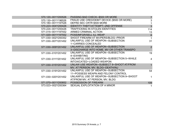| 570.120-001Y200526 | PASSING BAD CHECK-\$500 OR MORE             | $\overline{7}$  |
|--------------------|---------------------------------------------|-----------------|
| 570.130-001Y196526 | FRAUD USE CRED/DEBIT DEVICE (\$500 OR MORE) | 3               |
| 570.180-001Y197526 | DEFRD SEC CRTR \$500 MORE                   |                 |
| 570.223-004Y200426 | <b>IDENTITY THEFT/ATTEMPT-2ND OFFENSE</b>   | $\overline{3}$  |
| 570.224-001Y200426 | <b>TRAFFICKING IN STOLEN IDENTITIES</b>     | 114             |
| 571.015-001Y197552 | ARMED CRIMINAL ACTION                       | 13              |
| 571.020-001Y197552 | POSS/MFGR/SELL ILL WEAP                     | $6\overline{6}$ |
| 571.030-002Y200352 | SHOOT FIREARM AT MV/PERS/BLDG-PRIOR         |                 |
| 571.030-007Y201452 | UNLAWFUL USE OF WEAPON-SUBSECTION           | 31              |
|                    | 1–CARRIES CONCEALED                         |                 |
| 571.030-009Y201452 | UNLAWFUL USE OF WEAPON-SUBSECTION           | $\overline{2}$  |
|                    | 3-DISCHARGE INTO HOME, MV OR OTHER TRANSPO  |                 |
| 571.030-010Y201452 | UNLAWFUL USE OF WEAPON-SUBSECTION           | 19              |
|                    | 4-EXHIBITING                                |                 |
| 571.030-011Y201452 | UNLAWFUL USE OF WEAPON-SUBSECTION 5-WHILE   | 4               |
|                    | INTOXICATED-LOADED WEAPON                   |                 |
| 571.030-015Y201452 | UNLAW USE WEAPON-SUBSECT 9-SHOOT AT/FROM    |                 |
|                    | MV, AT PERSON, MV, BLDG-DEATH/INJ           |                 |
| 571.030-019Y201452 | UNLAWFUL USE OF WEAPON-SUBSECTION           | 54              |
|                    | 11-POSSESS WEAPN AND FELONY CONTROL         |                 |
| 571.030-020Y201452 | UNLAWFUL USE OF WEAPON-SUBSECTION 9-SHOOT   |                 |
|                    | AT/FROM MV, AT PERSON, MV, BLDG             |                 |
| 571.070-001Y200852 | POSSESSION OF FIREARM                       | 109             |
| 573.023-002Y200364 | SEXUAL EXPLOITATION OF A MINOR              |                 |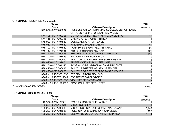### **CRIMINAL FELONIES (continued)**

|                                | <b>Charge</b>      |                                            | <b>YTD</b>     |
|--------------------------------|--------------------|--------------------------------------------|----------------|
|                                | Code               | <b>Offense Description</b>                 | <b>Arrests</b> |
|                                | 573.037-001Y200837 | POSSESS CHILD PORN-2ND SUBSEQUENT OFFENSE  |                |
|                                |                    | OR POSS > 20 PICTURES/1 FILM/VIDEO         |                |
|                                | 574.105-001Y199226 | MONEY LAUNDERING/ATMPT LAUNDERING          | 18             |
|                                | 574.115-001Y200316 | <b>MAKING A TERRORIST THREAT</b>           |                |
|                                | 575.020-001Y197550 | <b>CONCEALING AN OFFENSE</b>               |                |
|                                | 575.030-001Y197550 | <b>HINDERING PROSECUTION</b>               | 13             |
|                                | 575.100-001Y197550 | <b>TAMP PHYS EVDN-FELONY CHRG</b>          | 25             |
|                                | 575.150-001Y195048 | <b>RESIST/INTERFER FEL ARR</b>             | 123            |
|                                | 575.150-002Y200548 | <b>RES ARST/DETN/STOP-RSK DTH/INJRY</b>    | 118            |
|                                | 575.200-002Y197549 | <b>ESC CUST ARR FOR FELONY</b>             | $\overline{2}$ |
|                                | 575.206-001Y200550 | <b>VIOL CONDITION/LIFETIME SUPERVISION</b> |                |
|                                | 576.010-001Y197951 | <b>BRIBERY OF A PUBLIC SERVANT</b>         | $\overline{2}$ |
|                                | 578.154-001Y201155 | POSS ANHYDR AMMON-NONAPPRV CNTR            |                |
|                                | 589.425-001Y200836 | FAIL TO REGISTER AS SEX OFFENDER           | $\overline{2}$ |
|                                | 589.425-002Y200836 | FAIL TO REG SEX OFFENDER-SPC CONDS         |                |
|                                | ADMIN.18USC3651555 | FEDERAL PROBATION VIO                      |                |
|                                | ADMIN.18USC7515549 | <b>ESCAPE FROM CUSTODY</b>                 |                |
|                                | ADMIN.26USC5861555 | <b>VIOL NAT FIREARMS ACT</b>               | 3              |
|                                | ADMIN.31USC1295525 | <b>POSS COUNTERFEIT NOTES</b>              | 3              |
| <b>Total CRIMINAL FELONIES</b> |                    |                                            | 4,697          |
|                                |                    |                                            |                |

#### **CRIMINAL MISDEMEANORS**

| Charge             |                                    | <b>YTD</b>     |
|--------------------|------------------------------------|----------------|
| Code               | <b>Offense Description</b>         | <b>Arrests</b> |
| 142.932-001N199961 | EVAS TX MOTOR FUEL W DYE           |                |
| 190.308-001N199648 | <b>MISUSING "9-1-1"</b>            |                |
| 195.202-003Y200935 | MISD-POSS UP TO 35 GRAMS MARIJUANA | 5.142          |
| 195.202-004Y201035 | POSS UP TO 35 GRMS SYN CNNBNOID    | 123            |
| 195.233-001Y200935 | UNLAWFUL USE DRUG PARAPHERNALIA    | 5,814          |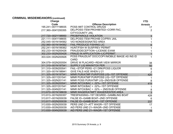# **CRIMINAL MISDEMEANORS (continued)**

| Charge             |                                               | <b>YTD</b>      |
|--------------------|-----------------------------------------------|-----------------|
| Code               | <b>Offense Description</b>                    | <b>Arrests</b>  |
| 195.241-001Y198935 | POSS IMIT CONTROL DRUGS                       | 17              |
| 217.360-004Y200355 | DEL/POSS ITEM PROHIBITED-CORR FAC,            | 2               |
|                    | <b>CITY/COUNTY JAIL</b>                       |                 |
| 217.720-002Y198950 | PROB/PAROLE VIOLATION                         | $\mathfrak{S}$  |
| 221.111-004Y198655 | DEL/POSS ITEM PROHIB CO/PRIV JAIL             |                 |
| 252.045-001N194562 | <b>VIO NONDESIGNATED AREA</b>                 |                 |
| 252.060-001N194562 | <b>FAIL PRODUCE FISHING LIC</b>               | $6\phantom{a}$  |
| 252.241-001N199362 | HUNT/FISH W SUSP/REV PERMIT                   |                 |
| 302.233-001N200426 | FRAUD/DECEPTION-LICENSE EXAM                  |                 |
| 302.233-002N200426 | FRAUD IN APPLICATION-LIC/PERMIT               | $\mathbf{1}$    |
| 303.024-002N200926 | POSS FRAUDLNT DOC/COPY/MOBILE IMAGE AS INS ID |                 |
|                    | <b>CARD</b>                                   |                 |
| 304.079-002N200554 | DRIVE W PLACARD-REAR VIEW MIRROR              | 38              |
| 311.310-001N197541 | <b>SUPPLY LIQ MIN/INTOX PER</b>               | 50              |
| 311.310-003N200541 | <b>FAIL-STOP PERS &lt;21 DRK/POSS LIQUOR</b>  | $6\phantom{1}6$ |
| 311.320-001N198941 | GIVE FALS AGE WHEN U 21                       | $\overline{2}$  |
| 311.325-001N197541 | MINR PUR/ATMP PUR/POSS LIQ-1ST OFFENSE        | 420             |
| 311.325-001Y201541 | MINR PUR/ATMP PUR/POSS LIQ-1ST OFFENSE        |                 |
| 311.325-002N201141 | MINR POSS PUR/ATMP LIQ-2ND/SUB OFFENSE        | 8               |
| 311.325-003N200541 | MINR INTOX/BAC > .02%-1ST OFFENSE             | 419             |
| 311.325-003Y201541 | MINR INTOX/BAC > .02%-1ST OFFENSE             |                 |
| 311.325-004N201141 | MINR INTOX/BAC > .02% - 2ND/SUB OFFENSE       | $\frac{8}{3}$   |
| 313.670-001N198639 | MINR WAGER/ATMPT WAGER/ENTER AREA             |                 |
| 313.813-001N200357 | TRESPASSING-1ST DEGREE-GAMBLING BOAT          | 428             |
| 313.817-001N200039 | FALSE ID-GAMB BOAT-2ND OFFENSE                | 6               |
| 313.817-002N200039 | FALSE ID-GAMB BOAT-1ST OFFENSE                | 237             |
| 313.830-002N200039 | PERS UND 21-ATT WAGR-1ST OFFENSE              | 17              |
| 313.830-003N200039 | AID PERS UND 21-WAGR-2ND OFFENSE              |                 |
| 313.830-004N200039 | AID PERS UND 21-WAGR-1ST OFFENSE              | 15              |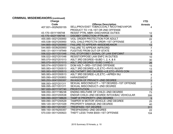# **CRIMINAL MISDEMEANORS (continued)**

| <b>Charge</b>      |                                                   | <b>YTD</b>                                 |
|--------------------|---------------------------------------------------|--------------------------------------------|
| Code               | <b>Offense Description</b>                        | <b>Arrests</b>                             |
| 407.931-002N200155 | SELL/PROV/DIST TOBACCO/ALT NICOTINE/VAPOR         | 4                                          |
|                    | PRODUCT TO <18-1ST OR 2ND OFFENSE                 |                                            |
| 43.170-001Y199748  | <b>RESIST PTRL MBR-DISCHARGE DUTIES</b>           | 12                                         |
| 43.170-002Y199748  | <b>DISOBEY DIRECTION-PTRLMN</b>                   | 9                                          |
| 455.085-002Y200950 | <b>VIOL ORDER PROTECTION FOR ADULT</b>            | 22                                         |
| 455.538-002Y200950 | VIOL CHILD PROTCTN ORDR-1ST OFFENSE               | $\overline{2}$                             |
| 544.665-002Y200950 | <b>FAILURE TO APPEAR-MISDEMEANOR</b>              | 13                                         |
| 544.665-003N200950 | <b>FAILURE TO APPEAR-INFR/ORD</b>                 | $\overline{7}$                             |
| 548.131-001Y197949 | <b>FUGITIVE FROM OUT-OF-STATE</b>                 | $\overline{7}$                             |
| 556.022-001Y201048 | FAIL STOP/OBEY SIGNAL OF LAW ENFCMNT              | $\overline{3}$                             |
| 556.022-002Y201048 | <b>RESIST/OPPOSE LAW ENFC IN DUTIES</b>           | 10                                         |
| 565.070-002Y201013 | ASLT 3RD DEGREE-SUBD 1, 2, 4, & 6                 | 30                                         |
| 565.070-003Y201013 | ASLT 3RD DEGREE-SUBD 3 AND 5                      | 26                                         |
| 565.074-002Y200013 | DOM ASLT-3RD-1ST/2ND OFFENSE                      | 15                                         |
| 565.083-001Y200513 | ASLT 3RD DEGREE-L/E, ETC-PHYS INJURY              | 13                                         |
| 565.083-002Y200513 | ASLT/ATMPT 3RD DEGREE-L/E, ETC-PHYS CON           | 15                                         |
| 565.083-003Y200513 | ASLT 3RD DEGREE-L/E, ETC. - APREH INJ             | $\overline{4}$                             |
| 565.090-002Y200853 | <b>HARASSMENT</b>                                 | $\mathbf 2$                                |
| 565.253-004Y200357 | <b>INVASION OF PRIVACY-2ND DEGREE</b>             | $\overline{1}$                             |
| 566.093-002Y201311 | SEXUAL MISCONDUCT - 1ST DEGREE-1ST OFFENSE        |                                            |
| 566.095-001Y201311 | SEXUAL MISCONDUCT-2ND DEGREE                      | $\begin{array}{c} 2 \\ 3 \\ 1 \end{array}$ |
| 567.020-001Y197740 | <b>PROSTITUTION</b>                               |                                            |
| 568.050-001Y196238 | <b>ENDNG WELFARE OF CHILD-2ND DEGREE</b>          | 73                                         |
| 568.050-003Y200538 | <b>ENDGR CHILD-2ND DEGREE INTOX/BAC VEHICULAR</b> | 306                                        |
| 569.090-003Y198629 | TAMP W PROPERTY-2ND DEGREE                        | $5\overline{)}$                            |
| 569.090-007Y200529 | TAMPER W MOTOR VEHICLE-2ND DEGREE                 | 25                                         |
| 569.120-001Y201029 | PROPERTY DAMAGE 2ND DEGREE                        | 40                                         |
| 569.140-001Y201057 | <b>TRESPASS-1ST DEGREE</b>                        | 311                                        |
| 569.150-001N200357 | TRESPASSING-2ND DEGREE                            | 22                                         |
| 570.030-001Y200923 | THEFT LESS THAN \$500-1ST OFFENSE                 | 104                                        |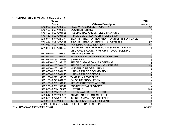# **CRIMINAL MISDEMEANORS (continued)**

| Charge                             |                                                 | <b>YTD</b>              |
|------------------------------------|-------------------------------------------------|-------------------------|
| Code                               | <b>Offense Description</b>                      | <b>Arrests</b>          |
| 570.080-003Y200928                 | <b>RECEIVING STOLEN PROPERTY</b>                | 50                      |
| 570.103-003Y199825                 | <b>COUNTERFEITING</b>                           | 2                       |
| 570.120-002Y201026                 | PASSING BAD CHECK-LESS THAN \$500               | $\overline{2}$          |
| 570.130-002Y201026                 | FRAUD USE CREDIT/DEBIT-LESS \$500               | 10                      |
| 570.223-005Y200426                 | IDENTITY THEFT/ATTEMPT(UP TO \$500)-1ST OFFENSE | 3                       |
| 570.223-006Y200426                 | <b>IDENTITY THEFT/ATTEMPT-1ST OFFENSE</b>       | 27                      |
| 571.020-002Y197552                 | POSS/MFGR/SELL ILL WEAP                         | 13                      |
| 571.030-013Y201452                 | UNLAWFUL USE OF WEAPON - SUBSECTION 7-          | $\mathbf 1$             |
|                                    | DISCHARGE ALONG HWY OR INTO OUTBUILDING         |                         |
| 571.045-001Y197552                 | <b>DEFACING FIREARM</b>                         | $\overline{2}$          |
| 571.050-001Y201052                 | POSSESSION OF A DEFACED FIREARM                 | $\bf 8$                 |
| 572.020-003N197539                 | <b>GAMBLING</b>                                 | $\mathbf 1$             |
| 574.010-001Y199353                 | PEACE DIST-SEC-SUBS OFFENSE                     | $\overline{\mathbf{4}}$ |
| 574.010-002Y201053                 | PEACE DISTURBANCE - 1ST OFFENSE                 | 11                      |
| 575.030-002Y197550                 | <b>HINDERING PROSECUTION</b>                    | 6                       |
| 575.060-001Y201050                 | MAKING FALSE DECLARATION                        | 10                      |
| 575.080-001Y201048                 | <b>MAKING FALSE REPORT</b>                      | 15                      |
| 575.100-002Y197550                 | <b>TAMP PHYS EVIDENCE</b>                       | 17                      |
| 575.120-002Y201050                 | <b>FALSE IMPERSONATION</b>                      | 6                       |
| 575.150-003Y191048                 | <b>RESIST/INTERFERE ARREST</b>                  | 239                     |
| 575.200-003Y197549                 | <b>ESCAPE FROM CUSTODY</b>                      | 3                       |
| 577.070-001N197555                 | <b>LITTERING</b>                                | 254                     |
| 577.073-001N196173                 | LITTER WATERS-STATE PARK                        |                         |
| 578.012-001Y198355                 | <b>ANIMAL ABUSE-1ST OFFENSE</b>                 | $\mathfrak{B}$          |
| 578.029-002N200155                 | INT REL ANIMAL-1ST OFFENSE                      | $\mathbf{1}$            |
| 578.250-002Y198255                 | <b>INTENTIONAL INHALE SOLVENT</b>               | $\overline{2}$          |
| ADMIN.0-002N197973                 | <b>HOLD FOR SAFE KEEPING</b>                    | $\overline{2}$          |
| <b>Total CRIMINAL MISDEMEANORS</b> |                                                 | 14,555                  |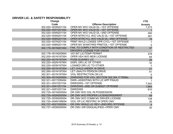#### **DRIVER LIC. & SAFETY RESPONSIBILITY**

| Charge             |                                             | <b>YTD</b>     |
|--------------------|---------------------------------------------|----------------|
| Code               | <b>Offense Description</b>                  | <b>Arrests</b> |
| 302.020-003N201154 | OPER MV W/O VALID DL-1ST OFFENSE            | 7,273          |
| 302.020-003Y201554 | OPER MV W/O VALID DL-1ST OFFENSE            |                |
| 302.020-004N201154 | OPER MV W/O VALID DL-2ND OFFENSE            | 492            |
| 302.020-005N201154 | OPER MTRCYCL W/O VALID DL-1ST OFFENSE       | 381            |
| 302.020-006N201154 | OPER MTRCYCL W/O VALID DL-2ND OFFENSE       | 15             |
| 302.020-007N201154 | PRMT INVLD LCNSEE OPR CYCL-1ST OFFENSE      |                |
| 302.020-008N201154 | OPER MV W/ANTHRS PRMT/DL-1ST OFFENSE        | $\overline{5}$ |
| 302.175-001N201454 | FAIL TO COMPLY WITH CONDITION OF RESTRICTED | 37             |
|                    | DRIVER'S LICENSE FOR VISION                 |                |
| 302.178-001N200654 | <b>VIO INT LIC/TEMP PERMIT</b>              | 278            |
| 302.200-001N197554 | OPER VEH W/O NEW LICENSE                    | 84             |
| 302.220-001N197554 | POSS SUS/REV LIC                            | 29             |
| 302.220-002N197954 | <b>DISPL DRI LIC OF OTHER</b>               | 32             |
| 302.220-003N197554 | <b>LOANED DRI LIC TO OTHER</b>              | $\overline{7}$ |
| 302.250-001N197554 | LET CHILD UNDER 16 DRIVE                    | 21             |
| 302.260-001N197554 | LET UNAUTH PERSON DRIVE                     | 61             |
| 302.301-001N197554 | <b>VIOL RESTRICTION ON LIC</b>              |                |
| 302.304-001N200954 | DWR/DWS FOR VIOL SECTION 302.304.17 RSMo.   | $\frac{5}{9}$  |
| 302.321-001Y200454 | DWR-ASSISTING WITH LIC APP FRAUD            | $\mathbf{1}$   |
| 302.321-003Y201154 | DWR/DWS-1ST OFFENSE                         | 7,543          |
| 302.321-004Y201154 | DWR/DWS-2ND OR SUBSQT OFFENSE               | 1,664          |
| 302.321-005Y201154 | <b>DWR/DWS</b>                              | 610            |
| 302.725-001N200554 | DR CMV W/O CDL IN POSSESSION                | 4              |
| 302.725-002N200554 | DR CMV W/O PROPER LIC/ENDORSEMENT           | 59             |
| 302.725-003N200554 | DR CMV W/O COMM MV DRIVER LICENSE           | 138            |
| 302.725-004N199554 | VIOL OP LIC RESTRIC W OPER CMV              | 26             |
| 302.727-002Y200554 | DR CMV WHILE LIC REV-2ND/3RD OFFENSE        | $\overline{4}$ |
| 302.727-003N200554 | DR CMV-DR DISQUALIFIED-OPER CMV             | 30             |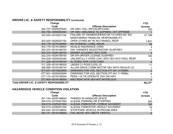# **DRIVER LIC. & SAFETY RESPONSIBILITY (continued)**

| Charge                                    |                                             | <b>YTD</b>     |
|-------------------------------------------|---------------------------------------------|----------------|
| Code                                      | <b>Offense Description</b>                  | <b>Arrests</b> |
| 302.727-004N200554                        | DR CMV-CDL-REV/SUSP/CANC                    | 162            |
| 302.755-005N200554                        | OP CMV-ISSUANCE TIL EXPIRES-1ST OFFENSE     |                |
| 303.025-001N201154                        | FAILURE OF OWNER/OPERATOR TO OPER MV WO     | 27,189         |
|                                           | <b>MAINTAINING FINANCIAL RESPONSIBILITY</b> |                |
| 303.025-002N201154                        | OPER OTHRS MV W/ NO FINANCL RESP            | 1,831          |
| 303.178-001N199954                        | <b>INV EVIDENC-LIABIL INSUR</b>             | 39             |
| 303.179-001N199954                        | <b>INVALID INSURANCE CARD</b>               | 3              |
| 303.370-001N198754                        | DW-OWNER'S REGISTRATION-SUSP/REV            | 11             |
| 303.370-002N198754                        | <b>MISREP ACCIDENT INFO DOR</b>             | 3              |
| 303.370-003N198754                        | DR WH DRIVER LICENSE SUSP/REV               | 100            |
| 304.029-002N200454                        | UNLAWFULLY OPER LOW-SPD VEH W/O FINCL RESP  |                |
| 311.328-001N198754                        | ALTERED OPR LIC/ID CARD                     | 5              |
| 311.329-001N199354                        | UNDER 21 POSS ILEGL ID                      | 11             |
| 390.066-001N199154                        | ALLOW DRIVE COMM MOTOR VEH WITH INVALID LIC | 1              |
| 577.041-001N200954                        | DWR/DWS FOR VIOL SECTION 577,041.10 RSMo.   | $\overline{2}$ |
| 577.041-002N200954                        | DWR/DWS FOR VIOL SECTION 577.041.11 RSMo.   | 6              |
| 577.110-001N195554                        | PERS <16 YR OPERATE VEH ON HWY              |                |
| 577.600-001N199554                        | KNO RENT MTR VEH W/O INTERLOCK              |                |
| Total DRIVER LIC. & SAFETY RESPONSIBILITY |                                             | 48,177         |

#### **HAZARDOUS VEHICLE CONDITION VIOLATION**

| Charge             |                                          | <b>YTD</b>     |
|--------------------|------------------------------------------|----------------|
| Code               | <b>Offense Description</b>               | <b>Arrests</b> |
| 301.143-002N198654 | PARKED IN HANDICAP SPACE                 |                |
| 304.015-031N201054 | <b>ILLEGAL PARKING OR STOPPING</b>       | 305            |
| 304.015-032N201054 | ILLEGAL PARK/STOP-THREAT ACCIDENT        | 100            |
| 304.015-033N201054 | <b>ILLEGAL PARK/STOP-RESULT ACCIDENT</b> | 18             |
| 304.024-001N199654 | STOP/PARK VEHICLE IN PROHIB AREA         |                |
| 304.151-001N199654 | <b>FAIL MOVE VEH OBSTR TRAFFIC</b>       | 8              |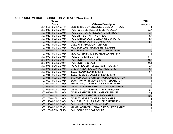# **HAZARDOUS VEHICLE CONDITION VIOLATION (continued)**

| <b>Charge</b>      |                                           | <b>YTD</b>                |
|--------------------|-------------------------------------------|---------------------------|
| Code               | <b>Offense Description</b>                | <b>Arrests</b>            |
| 304.665-001N199754 | UND 18 RIDE UNENCLOSED BED OF TRUCK       | 14                        |
| 307.010-001N201054 | <b>FAIL TO COVER/SECURE VEHIC LOAD</b>    | 240                       |
| 307.015-001N200954 | <b>FAIL MUD FLAPS/ADEQUATE ON TRUCK</b>   | 46                        |
| 307.040-001N201054 | <b>FAIL DISP LMP MTR VEH REQ</b>          | 58                        |
| 307.040-002N201054 | NO LIGHTED LAMPS WHEN USE WIPERS          | 360                       |
| 307.040-003N201054 | NO LIGHTED LAMPS DURING FOG               | 53                        |
| 307.040-004N201054 | <b>USED UNAPPR LIGHT DEVICE</b>           | 6                         |
| 307.045-001N201054 | FAIL EQP CAR/TRK/BUS HEADLAMPS            | $\,6\,$                   |
| 307.045-002N201054 | FAIL EQUIP MOTCYC APRVD HEADLAMP          | 5                         |
| 307.050-001N201054 | VIOL ALTERNATIVE TO HEADLAMPS-MV          | $\mathbf 1$               |
| 307.070-001N201054 | <b>FAILED TO DIM LIGHTS</b>               | 176                       |
| 307.075-001N201054 | <b>FAIL EQUIP 2 TAILLAMPS</b>             | 168                       |
| 307.075-002N201054 | <b>FAIL EQUIP LIC LAMP</b>                | 151                       |
| 307.075-004N201054 | NO APPROVED REFLECTOR-REAR MV             | 46                        |
| 307.075-005N201054 | OPER W INOP LIC LAMPS/TAILLAMPS           | 36                        |
| 307.080-001N201054 | <b>ILLEGAL AUXILIARY LAMPS</b>            | 22                        |
| 307.085-001N201054 | <b>ILLEGAL SIDE COWL/FENDER LAMPS</b>     |                           |
| 307.085-002N201054 | <b>BACKUP LAMP LIGHTED-FORWARD MOTION</b> | $\mathbf{1}$              |
| 307.090-001N201054 | EQUIP MV WITH MORE THAN 1 SPOTLAMP        | $\mathbf 1$               |
| 307.090-002N201054 | AIM MV SPOTLAMP IN GLARING MANNER         | $\ensuremath{\mathsf{3}}$ |
| 307.095-001N201054 | <b>DISPLAY LIGHTED HEADLAMP-NOT WHITE</b> | $\overline{9}$            |
| 307.095-002N201054 | DISPLAY AUX LAMP-NOT WHT/YEL/AMB          | 38                        |
| 307.095-003N201054 | DISPLY LIGHTED RED LAMP ON FRONT          | 14                        |
| 307.105-001N201054 | <b>FAIL HAVE 2 LIGHTED HEADLAMPS</b>      | 196                       |
| 307.105-002N201054 | <b>DISPLAY MORE THAN 4 HEADLAMPS</b>      | 4                         |
| 307.110-001N201054 | FAIL DSPLY LAMPS PARKED CAR/TRUCK         |                           |
| 307.115-001N201054 | <b>FAIL LAMP ON FARM MACHINE</b>          | $\overline{\mathbf{4}}$   |
| 307.125-001N200954 | ANIMAL-DRIVEN VEH-NO REQUIRED LIGHT       | $\mathbf{1}$              |
| 307.165-001N197554 | <b>FAIL EQUIP FT SEAT BELTS</b>           | 9                         |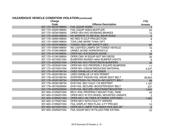# **HAZARDOUS VEHICLE CONDITION VIOLATION (continued)**

| Charge             |                                            | <b>YTD</b>       |
|--------------------|--------------------------------------------|------------------|
| Code               | <b>Offense Description</b>                 | <b>Arrests</b>   |
| 307.170-001N199654 | <b>FAIL EQUIP HORN</b>                     |                  |
| 307.170-002N199654 | <b>FAIL EQUIP ADEQ MUFFLER</b>             | 20               |
| 307.170-003N199654 | OPER VEH W/O WORKING BRAKES                | 13               |
| 307.170-004N199654 | NO MIRROR TO REVEAL REAR ROAD              | $\overline{2}$   |
| 307.170-005N199654 | NO RED FLG/LP PROJECTION                   | 8                |
| 307.170-006N199654 | TOW LINE MORE THAN 15FT                    | 1                |
| 307.170-007N199654 | <b>TOWED VEH-IMP SAFETY DEV</b>            | 87               |
| 307.170-009N199654 | NO LIGHTED LAMPS ON TOWED VEHICLE          | 15               |
| 307.170-010N199654 | UNNEC NOISE HORN/WHISTLE                   | $\overline{4}$   |
| 307.170-011N199654 | OPER MC-EXCESSIVE NOISE                    | 35               |
| 307.170-013N199654 | OPER CMV W EQUIP NOT MVI REGS              | 35               |
| 307.172-001N201054 | <b>BUMPERS RAISED-MAX BUMPER HGHTS</b>     | 9                |
| 307.172-002N201054 | OPER MV W/O FRONT/REAR BUMPERS             | 30               |
| 307.172-003N201054 | OPER MV W/O PROPERLY EQUIPD BUMPERS        | 11               |
| 307.173-001N201054 | OPER MV-VISION REDUCING MATERIAL           | 4,237            |
| 307.175-001N198154 | USED SIR/BLUE LP NO EMER                   | $\mathfrak{S}$   |
| 307.175-002N198154 | USED SIR/BLUE LP W/O PERMIT                |                  |
| 307.178-001N199754 | DVR/FRNT PASGR FAIL WEAR SEAT BELT         | 59,853           |
| 307.178-002N199754 | OPER/PSGR<18-TRUCK-NO SAFETY BELT          | 98               |
| 307.178-003N199754 | DVR FAIL SEC CHLD <16 RESTRNT              | 1,197            |
| 307.179-001N200654 | DVR FAIL SECURE-BOOSTER/SEAT BELT          | 237              |
| 307.179-002N200654 | DVR FAIL SECURE-RESTRAINT/BOOSTER          | 1,643            |
| 307.400-014N201054 | MCV-FAIL PROPERLY MOUNT FUEL TANK          | 46               |
| 307.400-015N201054 | OPER MCV W 5TH WHEEL MOUNTED UNSAFE        | $\overline{2}$   |
| 307.400-016N201054 | OPER MCV ON TIRES W FABRIC EXPOSED         | 1,263            |
| 307.400-017N201054 | OPER MCV WITH FAULTY WIPERS                |                  |
| 307.400-019N201054 | FAIL DISPLAY RED FLAG-4 FT PROJEC          | 10 <sub>1</sub>  |
| 307.400-021N201054 | OPER MCV-IMPR TOW BAR/5 WHL/SDL MT         | $\boldsymbol{8}$ |
| 307.400-022N201054 | <b>FAIL EQUIP MCV W FILLED FIRE EXTING</b> | 53               |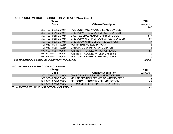# **HAZARDOUS VEHICLE CONDITION VIOLATION (continued)**

| Charge                                             |                                         | <b>YTD</b>            |
|----------------------------------------------------|-----------------------------------------|-----------------------|
| Code                                               | <b>Offense Description</b>              | <b>Arrests</b><br>449 |
| 307.400-023N201054                                 | FAIL EQUIP MCV W ADEQ LOAD DEVICES      |                       |
| 307.400-024N201054                                 | OPER CMW/TRL W OUT-OF-SERV ORDER        | 5                     |
| 307.400-025N201054                                 | MISC FEDERAL MOTOR CARRIER CODE         | 417                   |
| 307.400-026N201054                                 | OPER CMV W DRIVER OUT-OF-SERV ORDER     | 22                    |
| 307.400-027N201054                                 | OPER MCV WITH DEFECTIVE EXHAUST         | $\overline{7}$        |
| 390.063-001N199254                                 | NO/IMP EMERG EQUIP-PCCV                 |                       |
| 390.063-003N199254                                 | OPER PCCV W IMP COUPL DEVICE            |                       |
| 577.600-003Y199554                                 | <b>IGNITN INTRLK DEV VI-1ST OFFENSE</b> | 83                    |
| 577.600-004Y199554                                 | <b>IGNITN INTRLK DEV VI-2ND OFFENSE</b> | $\overline{2}$        |
| 577.612-001Y199554                                 | <b>VIOL IGNITN INTERLK RESTRICTIONS</b> | 42                    |
| <b>Total HAZARDOUS VEHICLE CONDITION VIOLATION</b> |                                         | 72,061                |

#### **MOTOR VEHICLE INSPECTION VIOLATIONS**

| Charge                                           |                                           | <b>YTD</b>     |
|--------------------------------------------------|-------------------------------------------|----------------|
| Code                                             | <b>Offense Description</b>                | <b>Arrests</b> |
| 307.365-001N201054                               | <b>CHARGING EXCESSIVE INSPECTION FEE</b>  |                |
| 307.365-002N201054                               | VEH INSPECTION PERMIT TO WRONG PERS       | 6              |
| 307.365-004N201054                               | PERFORM IMPROPER VEH INSPECTION           | 44             |
| 307.390-001N201054                               | <b>MOTOR VEHICLE INSPECTION VIOLATION</b> | 10             |
| <b>Total MOTOR VEHICLE INSPECTION VIOLATIONS</b> |                                           | 61             |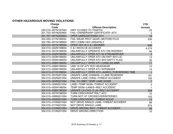#### **OTHER HAZARDOUS MOVING VIOLATIONS**

| Charge             |                                           | <b>YTD</b>     |
|--------------------|-------------------------------------------|----------------|
| Code               | <b>Offense Description</b>                | <b>Arrests</b> |
| 229.210-001N197554 | <b>HWY CLOSED TO TRAFFIC</b>              | 22             |
| 301.703-001N200954 | FAIL-OWNERSHIP CERTIFICATE-ATV            | $\overline{2}$ |
| 301.707-001N200954 | OPER UNREGISTERED ATV                     | 19             |
| 302.020-011N199554 | FAIL WEAR PROT GEAR-MOTORCYCLE            | 530            |
| 302.780-001N198954 | DRV COMM VEH UNSAFELY                     |                |
| 304.012-001N199554 | OPER VEH IN C & I MANNER                  | 946            |
| 304.012-002N199654 | C & I INVOLVE ACCIDENT                    | 4,215          |
| 304.013-001N199054 | UNLAWFULLY OPERATE ATV ON HIGHWAY         | 94             |
| 304.013-002N199054 | UNLAWFULLY OPER ATV IN STREAM/RIVER       | $\mathbf{3}$   |
| 304.013-003N199054 | UNLAWFULLY OPER ATV ON HWY W/O LIC        | 13             |
| 304.013-005N199054 | UNLAWFULLY OPER ATV W/O SAFTY FLAG        | 35             |
| 304.013-006N199054 | UNLAWFULLY OPER ATV CARELSS MNR           | 11             |
| 304.013-008N199054 | UND 18 OP ATV W/O HEADGEAR                | 12             |
| 304.013-009N199054 | UNLAWFULLY OPER ATV W/PSNGER              | 14             |
| 304.013-011N199054 | UNLAWFULLY OPER ATV-AGRICL PUR/WRONG TIME | $\overline{1}$ |
| 304.015-001N201054 | UNSAFE LANE CHANGE-3 LANE ROADWAY         | 181            |
| 304.015-002N201054 | UNSAFE LANE CHNG-THREAT ACCIDENT          | 105            |
| 304.015-003N201054 | FAIL TO OBEY TEMP LANE SIGNS              | $\overline{7}$ |
| 304.015-004N201054 | LANE-TEMP SIGN-THREAT ACCIDENT            | $\mathbf 2$    |
| 304.015-005N196054 | <b>TEMP SIGN-LANES-RSLT ACCIDENT</b>      | $\mathbf{1}$   |
| 304.015-006N196054 | UNSAFE LN CHG-3 LN-RSLT ACCIDENT          | 208            |
| 304.015-007N196054 | <b>TURN CRSOVR/INT RSLT ACC</b>           | 10             |
| 304.015-008N201054 | <b>TURN NOT AT CROSSOVER/INTERSEC</b>     | 103            |
| 304.015-009N201054 | <b>TURN CRSOVR/INT-THREAT ACCID</b>       | 13             |
| 304.015-010N201054 | NOT DRIVE SINGLE LANE-THREAT ACCIDENT     | 86             |
| 304.015-011N201054 | <b>NOT DRIVE SINGLE LANE</b>              | 974            |
| 304.015-012N201054 | DRIVE WRONG WAY-THREAT ACCIDENT           | 48             |
| 304.015-013N201054 | DRIVE WRONG DIRECTION                     | 70             |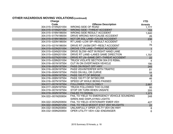# **OTHER HAZARDOUS MOVING VIOLATIONS (continued)**

| Charge             |                                             | <b>YTD</b>      |
|--------------------|---------------------------------------------|-----------------|
| Code               | <b>Offense Description</b>                  | <b>Arrests</b>  |
| 304.015-014N201054 | <b>WRONG SIDE OF ROAD</b>                   | 1,777           |
| 304.015-015N201054 | <b>WRONG SIDE-THREAT ACCIDENT</b>           | 153             |
| 304.015-016N196054 | <b>WRONG SIDE RESULT ACCIDENT</b>           | 1,640           |
| 304.015-017N196054 | DRIVE WRONG WAY/CAUSE ACCIDENT              | 26              |
| 304.015-018N196054 | NOT DR SGL LANE-CAUSE ACCIDENT              | 230             |
| 304.015-020N196054 | RT LANE-LOW SP-RESULT ACCIDENT              | 1               |
| 304.015-021N196054 | DRIVE RT LN/SM DRT-RESLT ACCIDENT           | 76              |
| 304.015-023N201054 | <b>DROVE CTR LANE-THREAT ACCIDENT</b>       | $\overline{1}$  |
| 304.015-024N201054 | DRIVE SLOW-NOT IN RIGHT HAND LANE           | $\overline{7}$  |
| 304.015-026N201054 | DRIVE RT LANE-LANES SAME DIRECTION          | 1,797           |
| 304.015-027N201054 | DRIVE RT LN-SAME DRT-THREAT ACCIDENT        | 22              |
| 304.015-029N201054 | TRUCK VIOLATE SECTION 304.015 RSMo.         | $\overline{4}$  |
| 304.016-001N197554 | <b>CUT IN ON OVERTAKEN VEHICLE</b>          | 190             |
| 304.016-002N197554 | PASS ON RIGHT OFF HWY                       | 245             |
| 304.016-003N197554 | PASS VEH/INTERFER WITH TRAFFIC              | 81              |
| 304.016-004N197554 | <b>PASS ON HILL OR CURVE</b>                | 58              |
| 304.016-005N197554 | PASS 100 FT OF BRIDGE                       | $6\overline{6}$ |
| 304.016-006N197554 | PASS 100 FT OF INTSEC/RR                    | 46              |
| 304.016-007N197554 | SPEED UP WHILE BEING PASSED                 | $\overline{7}$  |
| 304.017-001N197554 | <b>FOLLOWED TOO CLOSELY</b>                 | 2,687           |
| 304.017-002N197554 | <b>TRUCK FOLLOWED TOO CLOSE</b>             | 95              |
| 304.019-001N197554 | STOP OR TURN WHEN UNSAFE                    | 205             |
| 304.019-002N197554 | <b>FAILED TO SIGNAL</b>                     | 1,373           |
| 304.022-001N200654 | FAIL TO YIELD TO EMERGENCY VEHICLE SOUNDING | 248             |
|                    | SIREN AND DISPLAYING LIGHTS                 |                 |
| 304.022-002N200654 | <b>FAIL TO YIELD-STATIONARY EMER VEH</b>    | 427             |
| 304.022-004N201254 | FAIL TO YIELD MODOT STAT VEH W/LIGHTS       | 22              |
| 304.032-003N200854 | UNLAWFULLY OPER UTLTY VEH ON HWY            | 8               |
| 304.032-009N200854 | <b>OPER UTILITY VEH-C&amp;I-ENDANGER</b>    | $6\phantom{1}$  |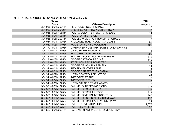# **OTHER HAZARDOUS MOVING VIOLATIONS (continued)**

| <b>Charge</b>      |                                       | <b>YTD</b>       |
|--------------------|---------------------------------------|------------------|
| Code               | <b>Offense Description</b>            | <b>Arrests</b>   |
| 304.035-001N200154 | <b>RR CROSS-INSUFF SPACE</b>          | 2                |
| 304.033-002N201254 | OPER REC OFF-HWY VEH ON HWY           | $6 \overline{6}$ |
| 304.035-003N198854 | <b>FAIL TO OBEY TRAF SIG-RR CROSS</b> | 14               |
| 304.035-004N198854 | <b>FAIL STOP RR TRACK</b>             | $\overline{5}$   |
| 304.035-006N200454 | FAIL SLOW CMV-APPROACH RR GRADE       | $\mathfrak{S}$   |
| 304.044-001N197554 | <b>FOLLOWED BUS/TRUCK TOO CLOSE</b>   | 30               |
| 304.050-003N194954 | <b>FAIL STOP FOR SCHOOL BUS</b>       | 125              |
| 304.170-001N197954 | OP/TRANSP HUSB IMP-SUNSET AND SUNRISE | $\overline{2}$   |
| 304.170-002N197954 | OP HUSB IMP W/O OP LIC                |                  |
| 304.271-001N197554 | <b>FAIL OBEY TRAF DEVICE</b>          | 209              |
| 304.281-001N197854 | FAIL YIELD CONTROLLED INTERSECT       | 175              |
| 304.281-002N197554 | <b>DISOBEY STEADY RED SIG</b>         | 542              |
| 304.281-003N197554 | <b>RT TRN ON RED PROHIBITED</b>       | $5\overline{)}$  |
| 304.301-001N197554 | <b>DISOBEY FLASHING RED SIG</b>       | 14               |
| 304.311-001N197554 | <b>RED SIGNAL OVER LANE</b>           | $\bf 8$          |
| 304.341-001N197554 | <b>DISOBEY INTSEC TURN SIGNAL</b>     | 11               |
| 304.341-002N197554 | <b>U TRN CONTROLLED INTSEC</b>        | 25               |
| 304.341-003N197554 | <b>IMPROPER RT TURN</b>               | 19               |
| 304.341-004N197554 | <b>IMPROPER LT TURN</b>               | 38               |
| 304.341-005N197554 | <b>U TRN CAUSED TRAF HAZARD</b>       | 17               |
| 304.351-001N197554 | <b>FAIL YIELD INTSEC NO SIGNS</b>     | 231              |
| 304.351-002N197554 | FAIL YIELD TO VEH ON RIGHT            | 33               |
| 304.351-003N197554 | <b>FAIL YIELD TRN LT INTSEC</b>       | 313              |
| 304.351-004N197554 | <b>FAIL YIELD VEH IN INTERSECTION</b> | 267              |
| 304.351-005N197554 | FAIL YIELD ENTER ALLEY/DRIVEWAY       | 226              |
| 304.351-006N197554 | FAIL YIELD TRN LT ALLEY/DRIVEWAY      | 24               |
| 304.351-007N197554 | FAIL STOP AT STOP SIGN                | 1,373            |
| 304.351-008N197554 | <b>FAIL OBEY YIELD SIGN</b>           | 26               |
| 304.582-001N200154 | PASS MV IN WORK ZONE-DIVIDED HWY      | 1                |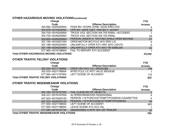# **OTHER HAZARDOUS MOVING VIOLATIONS (continued)**

| Charge                                         |                                           | <b>YTD</b>     |
|------------------------------------------------|-------------------------------------------|----------------|
| Code                                           | <b>Offense Description</b>                | <b>Arrests</b> |
| 304.582-002N200654                             | PASS MV-WORK ZONE-SIGN ERECTED            |                |
| 304.678-001N200554                             | OPR MV-SAFE DIST-PAS BICY-ACDNT           | $\overline{2}$ |
| 304.705-001N200854                             | TRUCK VIOL SECTION 304.705 RSMo.-ACCIDENT |                |
| 304.705-003N200854                             | TRUCK VIOL SECTION 304.705 RSMo.          | 29             |
| 304.820-002N200954                             | PERSON UNDER 21 TEXTING WHILE OPER MOVING | 57             |
| 307.195-001N201054                             | OPER MOTOR BICYCLE W/O DRIV LIC           | 5              |
| 307.198-002N200954                             | UNLAWFULLY OPER ATV HWY W/O LIGHTS        | 5              |
| 307.198-003N200954                             | UNLAWFULLY OPER ATV W/O TRI EMBLEM        | 22             |
| 577.065-001N198854                             | <b>FAIL TO REPORT ATV ACCIDENT</b>        |                |
| <b>Total OTHER HAZARDOUS MOVING VIOLATIONS</b> |                                           | 23,035         |

### **OTHER TRAFFIC FELONY VIOLATIONS**

| Charge                                       |                                | <b>YTD</b>     |
|----------------------------------------------|--------------------------------|----------------|
| Code                                         | <b>Offense Description</b>     | <b>Arrests</b> |
| 302.020-001Y199954                           | OPER VEH W/O LIC-3RD/SUBS      | 149            |
| 302.020-002Y199954                           | MTRCYCLE LIC NOT VALID 3RD/SUB | -1             |
| 577.060—001Y197954                           | LEFT SCENE OF ACCIDENT         | 175            |
| <b>Total OTHER TRAFFIC FELONY VIOLATIONS</b> |                                | 325            |

#### **OTHER TRAFFIC MISDEMEANOR VIOLATIONS**

| Charge                                            |                                             | <b>YTD</b>     |
|---------------------------------------------------|---------------------------------------------|----------------|
| Code                                              | <b>Offense Description</b>                  | <b>Arrests</b> |
| 304.160-001N197554                                | <b>FAIL CLEAR RD OF OBJECTS</b>             |                |
| 304.331-001N197554                                | ALTERED/REMOVED SIGN/SIGNAL                 | 4              |
| 407.933-001N200155                                | PERSON <18 PURCH/ATTEMPT/POSSESS CIGARETTES | $\overline{4}$ |
| 407.933-002N200155                                | PERSON <18 PURCHASE/ATTEMPT/POSSESS         | 40             |
| 577.060-002Y198654                                | LEFT SCENE OF ACCIDENT                      | 683            |
| 577.065-003Y198854                                | LEAVE SCENE ATV ACC INJ                     |                |
| 577.080-001N197754                                | ABANDONED A MTR VEH OR TRAILER              | 22             |
| <b>Total OTHER TRAFFIC MISDEMEANOR VIOLATIONS</b> |                                             | 756            |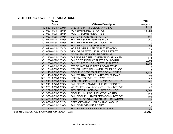#### **REGISTRATION & OWNERSHIP VIOLATIONS**

| Charge                                               |                                           | <b>YTD</b>      |
|------------------------------------------------------|-------------------------------------------|-----------------|
| Code                                                 | <b>Offense Description</b>                | <b>Arrests</b>  |
| 142.830-001N199954                                   | OPER I-S MTR FUEL USR W/O LIC             | 1,011           |
| 301.020-001N198654                                   | NO VEH/TRL REGISTRATION                   | 14,761          |
| 301.020-002N198654                                   | <b>FAIL TO SURRENDER TITLE</b>            | 3               |
| 301.020-003N194954                                   | OUT OF STATE REGISTRATION                 | 118             |
| 301.020-004N194954                                   | <b>FAIL REG SUFFIC GROSS WGHT</b>         | 216             |
| 301.020-006N194954                                   | FAIL REG FOR BEYOND LOCAL OP              | 45              |
| 301.020-007N194954                                   | <b>FAIL REG CMV AS DESIGNED</b>           | 11              |
| 301.041-001N200454                                   | NO REGISTR PLATE DISPLAYED-CMV            | 12 <sub>2</sub> |
| 301.069-001N200454                                   | <b>VIOL DRIVEAWAY LIC PLATE RESTRCT</b>   | $\sqrt{3}$      |
| 301.074-001N200954                                   | <b>DISABLED VET LICENSE OFFENSE</b>       |                 |
| 301.130-001N200954                                   | TAB NOT PROPERLY AFFIXED/DISPLAYED        | 113             |
| 301.130-002N200954                                   | FAILED TO DISPLAY PLATES ON MV/TRL        | 10,094          |
| 301.130-003N200954                                   | <b>FAIL TO AFFIX MOT VEH/ TRLR PLATES</b> | 1,265           |
| 301.131-001N200954                                   | EXCED 1000 MILE PERS USE-HIST VEHI        |                 |
| 301.131-003N200954                                   | OWNER HISTORIC MV-FAIL MILEAGE LOG        | 4               |
| 301.140-001N200954                                   | <b>DISPLAY/POSSESS PLATES OF ANOTHER</b>  | 1,174           |
| 301.140-002N200954                                   | FAIL TO TRANSFER PLATES W/I 30 DAYS       | 401             |
| 301.190-001N200954                                   | OPER MOTOR VEH/TRLR W/O TITLE             | 443             |
| 301.210-001N200954                                   | POSSESS OPEN TITLE ON MOT VEH/TRLR        | 145             |
| 301.210-002N200954                                   | <b>FAIL DELIVER OWNERSHIP CERTIFICATE</b> | 19              |
| 301.271-001N200954                                   | NO RECIPROCAL AGRMNT-COMM MTR VEH         | 43              |
| 301.277-002N200954                                   | RECIPROCAL AGR-FAIL REG COMM VEH          | 1,098           |
| 301.320-001N200954                                   | DISPLAY UNLAWFUL PLATE/PLACARD            | 141             |
| 301.330-001N200954                                   | FAIL DISPLAY NAME/ADDR-COMM MTR VEH       | 102             |
| 301.420-001N200954                                   | MADE FALSE STATEMENT-REGISTRATION         | $\overline{1}$  |
| 304.033-001N201254                                   | OPER OFF-HWY VEH ON HWY W/O LIC           | $\overline{2}$  |
| 307.350-001N201054                                   | FAIL DISPL VEH INSP CERT                  | 60              |
| 307.380-001N201154                                   | FAIL INSPECT VEH PRIOR TO SALE            | 30              |
| <b>Total REGISTRATION &amp; OWNERSHIP VIOLATIONS</b> |                                           | 31,317          |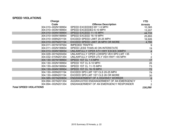#### **SPEED VIOLATIONS**

| Charge                        |                                         | <b>YTD</b>      |
|-------------------------------|-----------------------------------------|-----------------|
| Code                          | <b>Offense Description</b>              | <b>Arrests</b>  |
| 304.010-002N199954            | SPEED EXCEEDED BY 1-5 MPH               | 10,365          |
| 304.010-003N199954            | SPEED EXCEEDED 6-10 MPH                 | 13,207          |
| 304.010-004N199954            | SPEED EXCEED 11-15 MPH                  | 44,733          |
| 304.010-005N199954            | SPEED EXCEED 16-19 MPH                  | 25,893          |
| 304.010-006N201154            | EXCEED SPEED LIMIT 20-25 MPH            | 16,926          |
| 304.010-007N201154            | EXCEED SPEED LIMIT 26 MPH OR MORE       | 4,795           |
| 304.011-001N197554            | <b>IMPEDED TRAFFIC</b>                  | 9               |
| 304.011-002N199654            | SPEED LESS THAN 40 ON INTERSTATE        | 19              |
| 304.013-004N199054            | UNLAWFULLY OPER ATV HWY EXCES 30MPH     | $\overline{4}$  |
| 304.029-001N200454            | UNLAWFULLY OPER LOWSPD VEH SPD LMT >35  |                 |
| 304.032-010N201354            | UNLAWFULLY OPER UTLY VEH HWY >45 MPH    | $\overline{2}$  |
| 304.130-001N199954            | SPEED 1ST CL 1-5 MPH                    | 17              |
| 304.130-002N199954            | SPEED 1ST CL 6-10 MPH                   | 26              |
| 304.130-003N199954            | SPEED 1ST CL 11-15 MPH                  | 73              |
| 304.130-004N199954            | SPEED 1ST CL 16-19 MPH                  | 72              |
| 304.130-005N201154            | EXCEED SPD LMT 1ST CLS 20-25 MPH        | 79              |
| 304.130-006N201154            | EXCEED SPD LMT 1ST CLS 26 OR MORE       | 30              |
| 304.585-001N200654            | <b>ENDANGERMENT OF A HIGHWAY WORKER</b> | $6\phantom{1}6$ |
| 304.894-001N201354            | AGGRAVATED ENDANGERMENT OF AN EMERGENCY | 1               |
| 304.894-002N201354            | ENDANGERMENT OF AN EMERGENCY RESPONDER  | $\overline{2}$  |
| <b>Total SPEED VIOLATIONS</b> |                                         | 116,260         |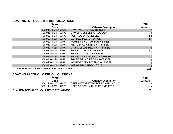### **BOAT/MOTOR REGISTRATION VIOLATIONS**

| Charge                                          |                                    | <b>YTD</b>      |
|-------------------------------------------------|------------------------------------|-----------------|
| Code                                            | <b>Offense Description</b>         | <b>Arrests</b>  |
| 306.015-001N198673                              | <b>OWNR VES FL REG/TIT DOR</b>     | 6               |
| 306.016-001N199573                              | OWNER VESSEL NO REG DOR            |                 |
| 306.020-001N197573                              | NON REG OF A VESSEL                | 61              |
| 306.020-003N197573                              | <b>EXPIRED REGISTRATION</b>        | 60              |
| 306.020-004N197573                              | NUMBERS NOT ON BOTH SIDES          | 3               |
| 306.030-002N197573                              | <b>REG DECAL N/DISPLY-VESSEL</b>   | 5               |
| 306.030-003N197573                              | MISS/ILLEGAL REG NO-VESSEL         |                 |
| 306.030-005N197573                              | <b>REG NOT ABOARD-VESSEL</b>       | 16              |
| 306.030-006N197573                              | <b>REG NOT DISPLAY VESSEL</b>      | 2               |
| 306.030-008N197573                              | <b>REG NO. N/CONTRA/CLR-VESSEL</b> | $\overline{2}$  |
| 306.030-009N197573                              | <b>IMP SIZE/PLAC REG NO-VESSEL</b> |                 |
| 306.040-001N197573                              | AWARDED NO. N/DSPLY-VESSEL         |                 |
| 306.530-001N198673                              | NON-REG/OUTBD MOTOR                | $6\phantom{1}6$ |
| <b>Total BOAT/MOTOR REGISTRATION VIOLATIONS</b> |                                    | 165             |

### **BOATING A LCOHOL & DRUG VIO LATIONS**

| Charge                                             |                                | <b>YTD</b>     |
|----------------------------------------------------|--------------------------------|----------------|
| Code                                               | <b>Offense Description</b>     | <b>Arrests</b> |
| 306.110-004Y197573                                 | OPER MOTORBT/WTRCRFT WHL INTOX | 16             |
| 306.111—005Y199373                                 | OPER VESSEL WHILE INTOXICATED  | 113            |
| <b>Total BOATING ALCOHOL &amp; DRUG VIOLATIONS</b> |                                | 129            |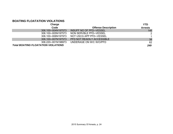### **BOATING FLOATATION VIOLATIONS**

| Charge                                     |                                | <b>YTD</b>     |
|--------------------------------------------|--------------------------------|----------------|
| Code                                       | <b>Offense Description</b>     | <b>Arrests</b> |
| 306.100-004N197573                         | <b>INSUFF NO OF PFD-VESSEL</b> | 146            |
| 306.100-005N197573                         | NON SERVBLE PFD-VESSEL         | 2              |
| 306.100-006N197973                         | NOT USCG APP PFD-VESSEL        |                |
| 306.100-007N197573                         | PFD NOT READILY ACCESSIBLE     | 38             |
| 306.220-001N198973                         | UNDERAGE ON W/C W/O/PFD        | 62             |
| <b>Total BOATING FLOATATION VIOLATIONS</b> |                                | 249            |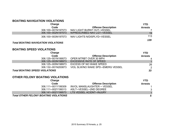### **BOATING NAVIGATION VIOLATIONS**

| Charge             |                             | YTD            |
|--------------------|-----------------------------|----------------|
| Code               | <b>Offense Description</b>  | <b>Arrests</b> |
| 306.100-001N197573 | NAV LIGHT BURNT OUT-VESSEL  |                |
| 306.100-002N197573 | N/PRESCRIBED NAV LGT-VESSEL | 19             |
| 306.100-003N197573 | NAV LIGHTS N/DISPLYD-VESSEL | 113            |
|                    |                             | 139            |

#### *Total BOATING NAVIGATION VIOLATIONS*

### **BOATING SPEED VIOLATIONS**

| Charge                                |                                   | <b>YTD</b>     |
|---------------------------------------|-----------------------------------|----------------|
| Code                                  | <b>Offense Description</b>        | <b>Arrests</b> |
| 306.125-001N199573                    | OPER MTRBT OVER 30 MPH            |                |
| 306.125-003N198973                    | <b>EXCESSIVE RATE OF SPEED</b>    | $\mathbf{1}$   |
| 306.125-005N198973                    | EXCESS OF NO WAKE SPEED           | 26             |
| 306.132-001N200873                    | VIOL SLW/NO WAKE SPD-EMERG VESSEL | 2              |
| <b>Total BOATING SPEED VIOLATIONS</b> |                                   | 33             |

### **OTHER FELONY BOATING VIOLATIONS**

| Charge                                       |                             | <b>YTD</b>     |
|----------------------------------------------|-----------------------------|----------------|
| Code                                         | <b>Offense Description</b>  | <b>Arrests</b> |
| 306.111-001Y199309                           | INVOL MANSLAUGHTER - VESSEL |                |
| 306.111-002Y199313                           | ASLT-VESSEL-2ND DEGREE      | 3              |
| 306.141-002Y199573                           | LTS VESSEL ACIDNT-INJURY    | $\mathbf{1}$   |
| <b>Total OTHER FELONY BOATING VIOLATIONS</b> |                             | 5              |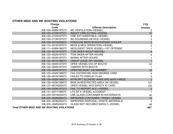### **OTHER MISD AND INF BOATING VIOLATIONS**

| <b>Charge</b>                                      |                                          | <b>YTD</b>       |
|----------------------------------------------------|------------------------------------------|------------------|
| Code                                               | <b>Offense Description</b>               | <b>Arrests</b>   |
| 306.100-008N197573                                 | NO VENTILATION-VESSEL                    |                  |
| 306.100-010N197573                                 | <b>INSUFF FIRE EXTING-VESSEL</b>         | 12               |
| 306.100-012N197573                                 | FIRE EXT N/SERVBLE-VESSEL                | 4                |
| 306.100-013N197573                                 | NO SOUNDING DEVICE-VESSEL                |                  |
| 306.109-001N200973                                 | POSS/USE BEER BONG/EXPAND COOLER         | $\frac{3}{3}$    |
| 306.110-001N197573                                 | <b>RECK &amp; NEG OPERATION-VESSEL</b>   | $\overline{2}$   |
| 306.111-008N199373                                 | NEGLIGENT OPER VESSEL-1ST OFFENSE        |                  |
| 306.120-001N197973                                 | TOW SKIER W/OUT MIR/OBJ                  | $\boldsymbol{9}$ |
| 306.120-002N197973                                 | <b>TOW SKIER AFTER HOURS</b>             | 4                |
| 306.120-003N197573                                 | <b>SKIING AFTER HOURS</b>                |                  |
| 306.122-001N199573                                 | UNSUP U/AGE OP-VESSEL                    |                  |
| 306.124-004N197973                                 | OPER VESSEL/VIO OF BOUYS                 | 42               |
| 306.124-005N197573                                 | <b>TAMPER WITH BUOYS</b>                 |                  |
| 306.125-002N197573                                 | <b>OPER MO BOAT C&amp;I MANNER</b>       | 10               |
| 306.125-004N198973                                 | FAIL EXCERCISE HIGH DEGREE CARE          | 4                |
| 306.126-001N199573                                 | <b>FAILED TO DISPLAY FLAG</b>            | $\mathsf 3$      |
| 306.126-002N199573                                 | WTRCRFT SLOW/NO WAKE SPD W/50 YARDS      | $\overline{3}$   |
| 306.126-003N198973                                 | RIDE IN RESTRICTED AREA ON VESSEL        | 127              |
| 306.127-001N200473                                 | OPER VESSEL W/O SAFETY ID CARD           | 152              |
| 306.140-003N197573                                 | <b>FAIL TO REPORT ACC-VESSEL</b>         | $\sqrt{2}$       |
| 306.141-001Y199573                                 | LTS OF A VESSEL ACCIDENT                 |                  |
| 306.325-001N200473                                 | USE GLASS CONTAINER IN WATERWAYS         | 40               |
| 306.325-002N200473                                 | IMPROPER CONTAINER-TRASH-VESSEL          | 12               |
| 306.325-003N200473                                 | <b>IMPROPER DISPOSAL-WASTE MATERIALS</b> | $\overline{2}$   |
| 306.325-004N200473                                 | <b>GLASS NOT SECURED SAFELY-VESSEL</b>   | 46               |
| <b>Total OTHER MISD AND INF BOATING VIOLATIONS</b> |                                          | 487              |